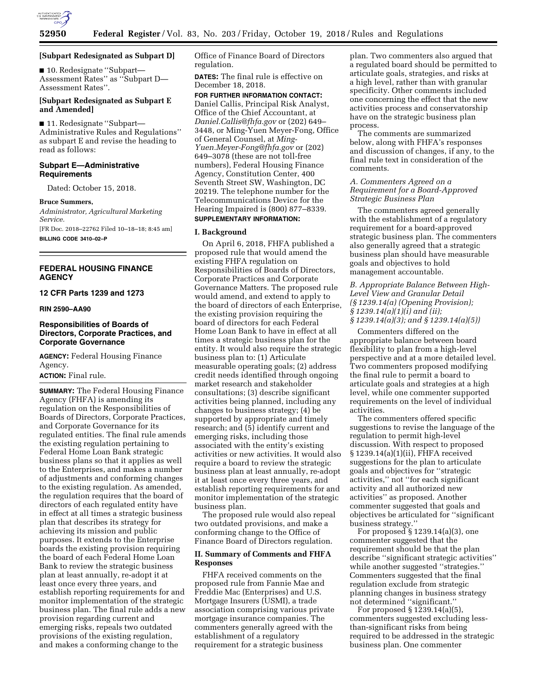

**[Subpart Redesignated as Subpart D]** 

■ 10. Redesignate ''Subpart— Assessment Rates'' as ''Subpart D— Assessment Rates''.

# **[Subpart Redesignated as Subpart E and Amended]**

■ 11. Redesignate "Subpart— Administrative Rules and Regulations'' as subpart E and revise the heading to read as follows:

# **Subpart E—Administrative Requirements**

Dated: October 15, 2018.

#### **Bruce Summers,**

*Administrator, Agricultural Marketing Service.* 

[FR Doc. 2018–22762 Filed 10–18–18; 8:45 am] **BILLING CODE 3410–02–P** 

# **FEDERAL HOUSING FINANCE AGENCY**

## **12 CFR Parts 1239 and 1273**

**RIN 2590–AA90** 

# **Responsibilities of Boards of Directors, Corporate Practices, and Corporate Governance**

**AGENCY:** Federal Housing Finance Agency.

# **ACTION:** Final rule.

**SUMMARY:** The Federal Housing Finance Agency (FHFA) is amending its regulation on the Responsibilities of Boards of Directors, Corporate Practices, and Corporate Governance for its regulated entities. The final rule amends the existing regulation pertaining to Federal Home Loan Bank strategic business plans so that it applies as well to the Enterprises, and makes a number of adjustments and conforming changes to the existing regulation. As amended, the regulation requires that the board of directors of each regulated entity have in effect at all times a strategic business plan that describes its strategy for achieving its mission and public purposes. It extends to the Enterprise boards the existing provision requiring the board of each Federal Home Loan Bank to review the strategic business plan at least annually, re-adopt it at least once every three years, and establish reporting requirements for and monitor implementation of the strategic business plan. The final rule adds a new provision regarding current and emerging risks, repeals two outdated provisions of the existing regulation, and makes a conforming change to the

Office of Finance Board of Directors regulation.

**DATES:** The final rule is effective on December 18, 2018.

**FOR FURTHER INFORMATION CONTACT:**  Daniel Callis, Principal Risk Analyst, Office of the Chief Accountant, at *[Daniel.Callis@fhfa.gov](mailto:Daniel.Callis@fhfa.gov)* or (202) 649– 3448, or Ming-Yuen Meyer-Fong, Office of General Counsel, at *[Ming-](mailto:Ming-Yuen.Meyer-Fong@fhfa.gov)[Yuen.Meyer-Fong@fhfa.gov](mailto:Ming-Yuen.Meyer-Fong@fhfa.gov)* or (202) 649–3078 (these are not toll-free numbers), Federal Housing Finance Agency, Constitution Center, 400 Seventh Street SW, Washington, DC 20219. The telephone number for the Telecommunications Device for the Hearing Impaired is (800) 877–8339. **SUPPLEMENTARY INFORMATION:** 

#### **I. Background**

On April 6, 2018, FHFA published a proposed rule that would amend the existing FHFA regulation on Responsibilities of Boards of Directors, Corporate Practices and Corporate Governance Matters. The proposed rule would amend, and extend to apply to the board of directors of each Enterprise, the existing provision requiring the board of directors for each Federal Home Loan Bank to have in effect at all times a strategic business plan for the entity. It would also require the strategic business plan to: (1) Articulate measurable operating goals; (2) address credit needs identified through ongoing market research and stakeholder consultations; (3) describe significant activities being planned, including any changes to business strategy; (4) be supported by appropriate and timely research; and (5) identify current and emerging risks, including those associated with the entity's existing activities or new activities. It would also require a board to review the strategic business plan at least annually, re-adopt it at least once every three years, and establish reporting requirements for and monitor implementation of the strategic business plan.

The proposed rule would also repeal two outdated provisions, and make a conforming change to the Office of Finance Board of Directors regulation.

# **II. Summary of Comments and FHFA Responses**

FHFA received comments on the proposed rule from Fannie Mae and Freddie Mac (Enterprises) and U.S. Mortgage Insurers (USMI), a trade association comprising various private mortgage insurance companies. The commenters generally agreed with the establishment of a regulatory requirement for a strategic business

plan. Two commenters also argued that a regulated board should be permitted to articulate goals, strategies, and risks at a high level, rather than with granular specificity. Other comments included one concerning the effect that the new activities process and conservatorship have on the strategic business plan process.

The comments are summarized below, along with FHFA's responses and discussion of changes, if any, to the final rule text in consideration of the comments.

# *A. Commenters Agreed on a Requirement for a Board-Approved Strategic Business Plan*

The commenters agreed generally with the establishment of a regulatory requirement for a board-approved strategic business plan. The commenters also generally agreed that a strategic business plan should have measurable goals and objectives to hold management accountable.

# *B. Appropriate Balance Between High-Level View and Granular Detail (§ 1239.14(a) (Opening Provision); § 1239.14(a)(1)(i) and (ii); § 1239.14(a)(3); and § 1239.14(a)(5))*

Commenters differed on the appropriate balance between board flexibility to plan from a high-level perspective and at a more detailed level. Two commenters proposed modifying the final rule to permit a board to articulate goals and strategies at a high level, while one commenter supported requirements on the level of individual activities.

The commenters offered specific suggestions to revise the language of the regulation to permit high-level discussion. With respect to proposed § 1239.14(a)(1)(ii), FHFA received suggestions for the plan to articulate goals and objectives for ''strategic activities,'' not ''for each significant activity and all authorized new activities'' as proposed. Another commenter suggested that goals and objectives be articulated for ''significant business strategy.''

For proposed § 1239.14(a)(3), one commenter suggested that the requirement should be that the plan describe ''significant strategic activities'' while another suggested ''strategies.'' Commenters suggested that the final regulation exclude from strategic planning changes in business strategy not determined ''significant.''

For proposed § 1239.14(a)(5), commenters suggested excluding lessthan-significant risks from being required to be addressed in the strategic business plan. One commenter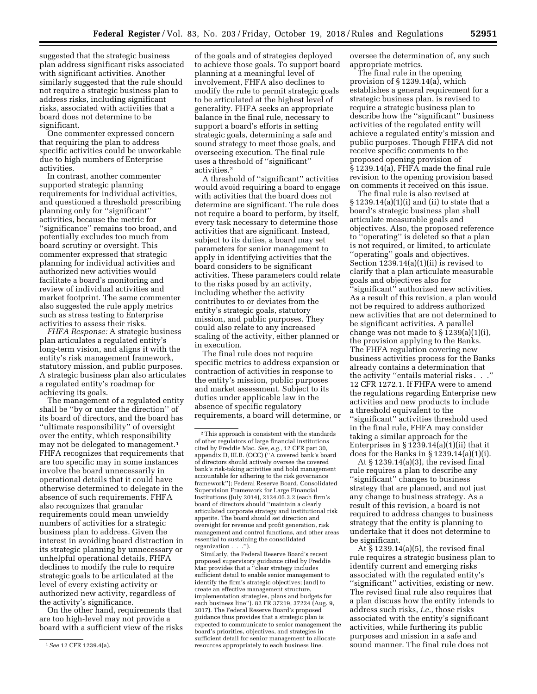suggested that the strategic business plan address significant risks associated with significant activities. Another similarly suggested that the rule should not require a strategic business plan to address risks, including significant risks, associated with activities that a board does not determine to be significant.

One commenter expressed concern that requiring the plan to address specific activities could be unworkable due to high numbers of Enterprise activities.

In contrast, another commenter supported strategic planning requirements for individual activities, and questioned a threshold prescribing planning only for ''significant'' activities, because the metric for ''significance'' remains too broad, and potentially excludes too much from board scrutiny or oversight. This commenter expressed that strategic planning for individual activities and authorized new activities would facilitate a board's monitoring and review of individual activities and market footprint. The same commenter also suggested the rule apply metrics such as stress testing to Enterprise activities to assess their risks.

*FHFA Response:* A strategic business plan articulates a regulated entity's long-term vision, and aligns it with the entity's risk management framework, statutory mission, and public purposes. A strategic business plan also articulates a regulated entity's roadmap for achieving its goals.

The management of a regulated entity shall be ''by or under the direction'' of its board of directors, and the board has ''ultimate responsibility'' of oversight over the entity, which responsibility may not be delegated to management.1 FHFA recognizes that requirements that are too specific may in some instances involve the board unnecessarily in operational details that it could have otherwise determined to delegate in the absence of such requirements. FHFA also recognizes that granular requirements could mean unwieldy numbers of activities for a strategic business plan to address. Given the interest in avoiding board distraction in its strategic planning by unnecessary or unhelpful operational details, FHFA declines to modify the rule to require strategic goals to be articulated at the level of every existing activity or authorized new activity, regardless of the activity's significance.

On the other hand, requirements that are too high-level may not provide a board with a sufficient view of the risks

of the goals and of strategies deployed to achieve those goals. To support board planning at a meaningful level of involvement, FHFA also declines to modify the rule to permit strategic goals to be articulated at the highest level of generality. FHFA seeks an appropriate balance in the final rule, necessary to support a board's efforts in setting strategic goals, determining a safe and sound strategy to meet those goals, and overseeing execution. The final rule uses a threshold of ''significant'' activities.2

A threshold of ''significant'' activities would avoid requiring a board to engage with activities that the board does not determine are significant. The rule does not require a board to perform, by itself, every task necessary to determine those activities that are significant. Instead, subject to its duties, a board may set parameters for senior management to apply in identifying activities that the board considers to be significant activities. These parameters could relate to the risks posed by an activity, including whether the activity contributes to or deviates from the entity's strategic goals, statutory mission, and public purposes. They could also relate to any increased scaling of the activity, either planned or in execution.

The final rule does not require specific metrics to address expansion or contraction of activities in response to the entity's mission, public purposes and market assessment. Subject to its duties under applicable law in the absence of specific regulatory requirements, a board will determine, or

Similarly, the Federal Reserve Board's recent proposed supervisory guidance cited by Freddie Mac provides that a ''clear strategy includes sufficient detail to enable senior management to identify the firm's strategic objectives; [and] to create an effective management structure, implementation strategies, plans and budgets for each business line''). 82 FR 37219, 37224 (Aug. 9, 2017). The Federal Reserve Board's proposed guidance thus provides that a strategic plan is expected to communicate to senior management the board's priorities, objectives, and strategies in sufficient detail for senior management to allocate resources appropriately to each business line.

oversee the determination of, any such appropriate metrics.

The final rule in the opening provision of § 1239.14(a), which establishes a general requirement for a strategic business plan, is revised to require a strategic business plan to describe how the ''significant'' business activities of the regulated entity will achieve a regulated entity's mission and public purposes. Though FHFA did not receive specific comments to the proposed opening provision of § 1239.14(a), FHFA made the final rule revision to the opening provision based on comments it received on this issue.

The final rule is also revised at § 1239.14(a)(1)(i) and (ii) to state that a board's strategic business plan shall articulate measurable goals and objectives. Also, the proposed reference to ''operating'' is deleted so that a plan is not required, or limited, to articulate ''operating'' goals and objectives. Section 1239.14(a)(1)(ii) is revised to clarify that a plan articulate measurable goals and objectives also for ''significant'' authorized new activities. As a result of this revision, a plan would not be required to address authorized new activities that are not determined to be significant activities. A parallel change was not made to § 1239(a)(1)(i), the provision applying to the Banks. The FHFA regulation covering new business activities process for the Banks already contains a determination that the activity ''entails material risks . . .'' 12 CFR 1272.1. If FHFA were to amend the regulations regarding Enterprise new activities and new products to include a threshold equivalent to the ''significant'' activities threshold used in the final rule, FHFA may consider taking a similar approach for the Enterprises in  $\S 1239.14(a)(1)(ii)$  that it does for the Banks in  $\S 1239.14(a)(1)(i)$ .

At § 1239.14(a)(3), the revised final rule requires a plan to describe any ''significant'' changes to business strategy that are planned, and not just any change to business strategy. As a result of this revision, a board is not required to address changes to business strategy that the entity is planning to undertake that it does not determine to be significant.

At § 1239.14(a)(5), the revised final rule requires a strategic business plan to identify current and emerging risks associated with the regulated entity's ''significant'' activities, existing or new. The revised final rule also requires that a plan discuss how the entity intends to address such risks, *i.e.,* those risks associated with the entity's significant activities, while furthering its public purposes and mission in a safe and sound manner. The final rule does not

<sup>1</sup>*See* 12 CFR 1239.4(a).

<sup>2</sup>This approach is consistent with the standards of other regulators of large financial institutions cited by Freddie Mac. *See, e.g.,* 12 CFR part 30, appendix D, III.B. (OCC) (''A covered bank's board of directors should actively oversee the covered bank's risk-taking activities and hold management accountable for adhering to the risk governance framework''); Federal Reserve Board, Consolidated Supervision Framework for Large Financial Institutions (July 2014), 2124.05.3.2 (each firm's board of directors should ''maintain a clearly articulated corporate strategy and institutional risk appetite. The board should set direction and oversight for revenue and profit generation, risk management and control functions, and other areas essential to sustaining the consolidated organization . . .'').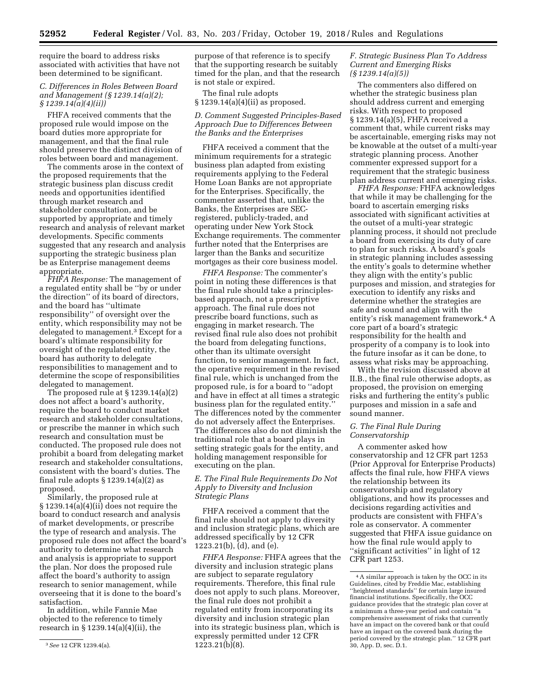require the board to address risks associated with activities that have not been determined to be significant.

# *C. Differences in Roles Between Board and Management (§ 1239.14(a)(2); § 1239.14(a)(4)(ii))*

FHFA received comments that the proposed rule would impose on the board duties more appropriate for management, and that the final rule should preserve the distinct division of roles between board and management.

The comments arose in the context of the proposed requirements that the strategic business plan discuss credit needs and opportunities identified through market research and stakeholder consultation, and be supported by appropriate and timely research and analysis of relevant market developments. Specific comments suggested that any research and analysis supporting the strategic business plan be as Enterprise management deems appropriate.

*FHFA Response:* The management of a regulated entity shall be ''by or under the direction'' of its board of directors, and the board has ''ultimate responsibility'' of oversight over the entity, which responsibility may not be delegated to management.3 Except for a board's ultimate responsibility for oversight of the regulated entity, the board has authority to delegate responsibilities to management and to determine the scope of responsibilities delegated to management.

The proposed rule at § 1239.14(a)(2) does not affect a board's authority, require the board to conduct market research and stakeholder consultations, or prescribe the manner in which such research and consultation must be conducted. The proposed rule does not prohibit a board from delegating market research and stakeholder consultations, consistent with the board's duties. The final rule adopts  $\S 1239.14(a)(2)$  as proposed.

Similarly, the proposed rule at § 1239.14(a)(4)(ii) does not require the board to conduct research and analysis of market developments, or prescribe the type of research and analysis. The proposed rule does not affect the board's authority to determine what research and analysis is appropriate to support the plan. Nor does the proposed rule affect the board's authority to assign research to senior management, while overseeing that it is done to the board's satisfaction.

In addition, while Fannie Mae objected to the reference to timely research in § 1239.14(a)(4)(ii), the

purpose of that reference is to specify that the supporting research be suitably timed for the plan, and that the research is not stale or expired.

The final rule adopts § 1239.14(a)(4)(ii) as proposed.

# *D. Comment Suggested Principles-Based Approach Due to Differences Between the Banks and the Enterprises*

FHFA received a comment that the minimum requirements for a strategic business plan adapted from existing requirements applying to the Federal Home Loan Banks are not appropriate for the Enterprises. Specifically, the commenter asserted that, unlike the Banks, the Enterprises are SECregistered, publicly-traded, and operating under New York Stock Exchange requirements. The commenter further noted that the Enterprises are larger than the Banks and securitize mortgages as their core business model.

*FHFA Response:* The commenter's point in noting these differences is that the final rule should take a principlesbased approach, not a prescriptive approach. The final rule does not prescribe board functions, such as engaging in market research. The revised final rule also does not prohibit the board from delegating functions, other than its ultimate oversight function, to senior management. In fact, the operative requirement in the revised final rule, which is unchanged from the proposed rule, is for a board to ''adopt and have in effect at all times a strategic business plan for the regulated entity.'' The differences noted by the commenter do not adversely affect the Enterprises. The differences also do not diminish the traditional role that a board plays in setting strategic goals for the entity, and holding management responsible for executing on the plan.

# *E. The Final Rule Requirements Do Not Apply to Diversity and Inclusion Strategic Plans*

FHFA received a comment that the final rule should not apply to diversity and inclusion strategic plans, which are addressed specifically by 12 CFR 1223.21(b), (d), and (e).

*FHFA Response:* FHFA agrees that the diversity and inclusion strategic plans are subject to separate regulatory requirements. Therefore, this final rule does not apply to such plans. Moreover, the final rule does not prohibit a regulated entity from incorporating its diversity and inclusion strategic plan into its strategic business plan, which is expressly permitted under 12 CFR 1223.21(b)(8).

## *F. Strategic Business Plan To Address Current and Emerging Risks (§ 1239.14(a)(5))*

The commenters also differed on whether the strategic business plan should address current and emerging risks. With respect to proposed § 1239.14(a)(5), FHFA received a comment that, while current risks may be ascertainable, emerging risks may not be knowable at the outset of a multi-year strategic planning process. Another commenter expressed support for a requirement that the strategic business plan address current and emerging risks.

*FHFA Response:* FHFA acknowledges that while it may be challenging for the board to ascertain emerging risks associated with significant activities at the outset of a multi-year strategic planning process, it should not preclude a board from exercising its duty of care to plan for such risks. A board's goals in strategic planning includes assessing the entity's goals to determine whether they align with the entity's public purposes and mission, and strategies for execution to identify any risks and determine whether the strategies are safe and sound and align with the entity's risk management framework.4 A core part of a board's strategic responsibility for the health and prosperity of a company is to look into the future insofar as it can be done, to assess what risks may be approaching.

With the revision discussed above at II.B., the final rule otherwise adopts, as proposed, the provision on emerging risks and furthering the entity's public purposes and mission in a safe and sound manner.

## *G. The Final Rule During Conservatorship*

A commenter asked how conservatorship and 12 CFR part 1253 (Prior Approval for Enterprise Products) affects the final rule, how FHFA views the relationship between its conservatorship and regulatory obligations, and how its processes and decisions regarding activities and products are consistent with FHFA's role as conservator. A commenter suggested that FHFA issue guidance on how the final rule would apply to ''significant activities'' in light of 12 CFR part 1253.

<sup>3</sup>*See* 12 CFR 1239.4(a).

<sup>4</sup>A similar approach is taken by the OCC in its Guidelines, cited by Freddie Mac, establishing ''heightened standards'' for certain large insured financial institutions. Specifically, the OCC guidance provides that the strategic plan cover at a minimum a three-year period and contain ''a comprehensive assessment of risks that currently have an impact on the covered bank or that could have an impact on the covered bank during the period covered by the strategic plan.'' 12 CFR part 30, App. D, sec. D.1.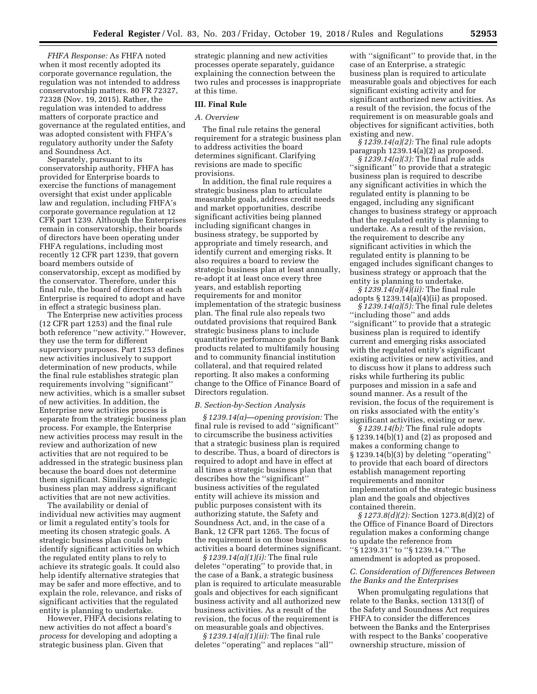*FHFA Response:* As FHFA noted when it most recently adopted its corporate governance regulation, the regulation was not intended to address conservatorship matters. 80 FR 72327, 72328 (Nov. 19, 2015). Rather, the regulation was intended to address matters of corporate practice and governance at the regulated entities, and was adopted consistent with FHFA's regulatory authority under the Safety and Soundness Act.

Separately, pursuant to its conservatorship authority, FHFA has provided for Enterprise boards to exercise the functions of management oversight that exist under applicable law and regulation, including FHFA's corporate governance regulation at 12 CFR part 1239. Although the Enterprises remain in conservatorship, their boards of directors have been operating under FHFA regulations, including most recently 12 CFR part 1239, that govern board members outside of conservatorship, except as modified by the conservator. Therefore, under this final rule, the board of directors at each Enterprise is required to adopt and have in effect a strategic business plan.

The Enterprise new activities process (12 CFR part 1253) and the final rule both reference ''new activity.'' However, they use the term for different supervisory purposes. Part 1253 defines new activities inclusively to support determination of new products, while the final rule establishes strategic plan requirements involving ''significant'' new activities, which is a smaller subset of new activities. In addition, the Enterprise new activities process is separate from the strategic business plan process. For example, the Enterprise new activities process may result in the review and authorization of new activities that are not required to be addressed in the strategic business plan because the board does not determine them significant. Similarly, a strategic business plan may address significant activities that are not new activities.

The availability or denial of individual new activities may augment or limit a regulated entity's tools for meeting its chosen strategic goals. A strategic business plan could help identify significant activities on which the regulated entity plans to rely to achieve its strategic goals. It could also help identify alternative strategies that may be safer and more effective, and to explain the role, relevance, and risks of significant activities that the regulated entity is planning to undertake.

However, FHFA decisions relating to new activities do not affect a board's *process* for developing and adopting a strategic business plan. Given that

strategic planning and new activities processes operate separately, guidance explaining the connection between the two rules and processes is inappropriate at this time.

### **III. Final Rule**

## *A. Overview*

The final rule retains the general requirement for a strategic business plan to address activities the board determines significant. Clarifying revisions are made to specific provisions.

In addition, the final rule requires a strategic business plan to articulate measurable goals, address credit needs and market opportunities, describe significant activities being planned including significant changes in business strategy, be supported by appropriate and timely research, and identify current and emerging risks. It also requires a board to review the strategic business plan at least annually, re-adopt it at least once every three years, and establish reporting requirements for and monitor implementation of the strategic business plan. The final rule also repeals two outdated provisions that required Bank strategic business plans to include quantitative performance goals for Bank products related to multifamily housing and to community financial institution collateral, and that required related reporting. It also makes a conforming change to the Office of Finance Board of Directors regulation.

#### *B. Section-by-Section Analysis*

*§ 1239.14(a)—opening provision:* The final rule is revised to add ''significant'' to circumscribe the business activities that a strategic business plan is required to describe. Thus, a board of directors is required to adopt and have in effect at all times a strategic business plan that describes how the ''significant'' business activities of the regulated entity will achieve its mission and public purposes consistent with its authorizing statute, the Safety and Soundness Act, and, in the case of a Bank, 12 CFR part 1265. The focus of the requirement is on those business activities a board determines significant.

*§ 1239.14(a)(1)(i):* The final rule deletes ''operating'' to provide that, in the case of a Bank, a strategic business plan is required to articulate measurable goals and objectives for each significant business activity and all authorized new business activities. As a result of the revision, the focus of the requirement is on measurable goals and objectives.

*§ 1239.14(a)(1)(ii):* The final rule deletes ''operating'' and replaces ''all''

with "significant" to provide that, in the case of an Enterprise, a strategic business plan is required to articulate measurable goals and objectives for each significant existing activity and for significant authorized new activities. As a result of the revision, the focus of the requirement is on measurable goals and objectives for significant activities, both existing and new.

*§ 1239.14(a)(2):* The final rule adopts paragraph 1239.14(a)(2) as proposed.

*§ 1239.14(a)(3):* The final rule adds "significant" to provide that a strategic business plan is required to describe any significant activities in which the regulated entity is planning to be engaged, including any significant changes to business strategy or approach that the regulated entity is planning to undertake. As a result of the revision, the requirement to describe any significant activities in which the regulated entity is planning to be engaged includes significant changes to business strategy or approach that the entity is planning to undertake.

*§ 1239.14(a)(4)(ii):* The final rule adopts  $\S 1239.14(a)(4)(ii)$  as proposed.

*§ 1239.14(a)(5):* The final rule deletes ''including those'' and adds ''significant'' to provide that a strategic business plan is required to identify current and emerging risks associated with the regulated entity's significant existing activities or new activities, and to discuss how it plans to address such risks while furthering its public purposes and mission in a safe and sound manner. As a result of the revision, the focus of the requirement is on risks associated with the entity's significant activities, existing or new.

*§ 1239.14(b):* The final rule adopts § 1239.14(b)(1) and (2) as proposed and makes a conforming change to § 1239.14(b)(3) by deleting ''operating'' to provide that each board of directors establish management reporting requirements and monitor implementation of the strategic business plan and the goals and objectives contained therein.

*§ 1273.8(d)(2):* Section 1273.8(d)(2) of the Office of Finance Board of Directors regulation makes a conforming change to update the reference from ''§ 1239.31'' to ''§ 1239.14.'' The amendment is adopted as proposed.

# *C. Consideration of Differences Between the Banks and the Enterprises*

When promulgating regulations that relate to the Banks, section 1313(f) of the Safety and Soundness Act requires FHFA to consider the differences between the Banks and the Enterprises with respect to the Banks' cooperative ownership structure, mission of